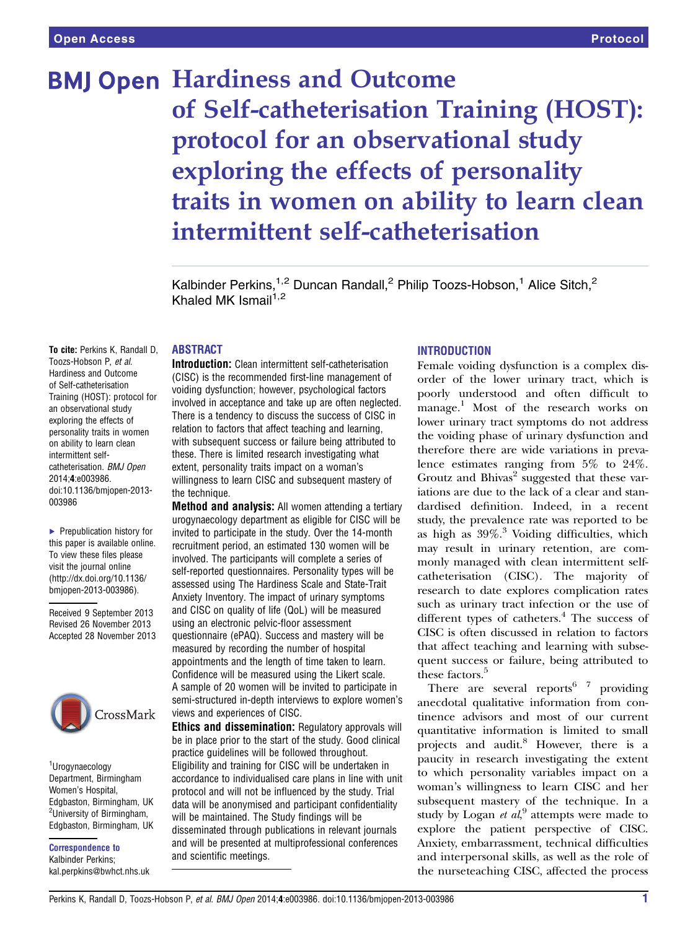# **BMJ Open Hardiness and Outcome** of Self-catheterisation Training (HOST): protocol for an observational study exploring the effects of personality traits in women on ability to learn clean intermittent self-catheterisation

Kalbinder Perkins,<sup>1,2</sup> Duncan Randall,<sup>2</sup> Philip Toozs-Hobson,<sup>1</sup> Alice Sitch,<sup>2</sup> Khaled MK Ismail<sup>1,2</sup>

### ABSTRACT

To cite: Perkins K, Randall D, Toozs-Hobson P, et al. Hardiness and Outcome of Self-catheterisation Training (HOST): protocol for an observational study exploring the effects of personality traits in women on ability to learn clean intermittent selfcatheterisation. BMJ Open 2014;4:e003986. doi:10.1136/bmjopen-2013- 003986

▶ Prepublication history for this paper is available online. To view these files please visit the journal online [\(http://dx.doi.org/10.1136/](http://dx.doi.org/10.1136/bmjopen-2013-003986) [bmjopen-2013-003986](http://dx.doi.org/10.1136/bmjopen-2013-003986)).

Received 9 September 2013 Revised 26 November 2013 Accepted 28 November 2013



1 Urogynaecology Department, Birmingham Women's Hospital, Edgbaston, Birmingham, UK <sup>2</sup>University of Birmingham, Edgbaston, Birmingham, UK

Correspondence to Kalbinder Perkins; kal.perpkins@bwhct.nhs.uk Introduction: Clean intermittent self-catheterisation (CISC) is the recommended first-line management of voiding dysfunction; however, psychological factors involved in acceptance and take up are often neglected. There is a tendency to discuss the success of CISC in relation to factors that affect teaching and learning, with subsequent success or failure being attributed to these. There is limited research investigating what extent, personality traits impact on a woman's willingness to learn CISC and subsequent mastery of the technique.

**Method and analysis:** All women attending a tertiary urogynaecology department as eligible for CISC will be invited to participate in the study. Over the 14-month recruitment period, an estimated 130 women will be involved. The participants will complete a series of self-reported questionnaires. Personality types will be assessed using The Hardiness Scale and State-Trait Anxiety Inventory. The impact of urinary symptoms and CISC on quality of life (QoL) will be measured using an electronic pelvic-floor assessment questionnaire (ePAQ). Success and mastery will be measured by recording the number of hospital appointments and the length of time taken to learn. Confidence will be measured using the Likert scale. A sample of 20 women will be invited to participate in semi-structured in-depth interviews to explore women's views and experiences of CISC.

**Ethics and dissemination: Regulatory approvals will** be in place prior to the start of the study. Good clinical practice guidelines will be followed throughout. Eligibility and training for CISC will be undertaken in accordance to individualised care plans in line with unit protocol and will not be influenced by the study. Trial data will be anonymised and participant confidentiality will be maintained. The Study findings will be disseminated through publications in relevant journals and will be presented at multiprofessional conferences and scientific meetings.

#### **INTRODUCTION**

Female voiding dysfunction is a complex disorder of the lower urinary tract, which is poorly understood and often difficult to manage. <sup>1</sup> Most of the research works on lower urinary tract symptoms do not address the voiding phase of urinary dysfunction and therefore there are wide variations in prevalence estimates ranging from 5% to 24%. Groutz and Bhivas<sup>2</sup> suggested that these variations are due to the lack of a clear and standardised definition. Indeed, in a recent study, the prevalence rate was reported to be as high as  $39\%$ .<sup>3</sup> Voiding difficulties, which may result in urinary retention, are commonly managed with clean intermittent selfcatheterisation (CISC). The majority of research to date explores complication rates such as urinary tract infection or the use of different types of catheters. $4$  The success of CISC is often discussed in relation to factors that affect teaching and learning with subsequent success or failure, being attributed to these factors.<sup>5</sup>

There are several reports<sup>6 7</sup> providing anecdotal qualitative information from continence advisors and most of our current quantitative information is limited to small projects and audit.<sup>8</sup> However, there is a paucity in research investigating the extent to which personality variables impact on a woman's willingness to learn CISC and her subsequent mastery of the technique. In a study by Logan  $et$   $al$ ,<sup>9</sup> attempts were made to explore the patient perspective of CISC. Anxiety, embarrassment, technical difficulties and interpersonal skills, as well as the role of the nurseteaching CISC, affected the process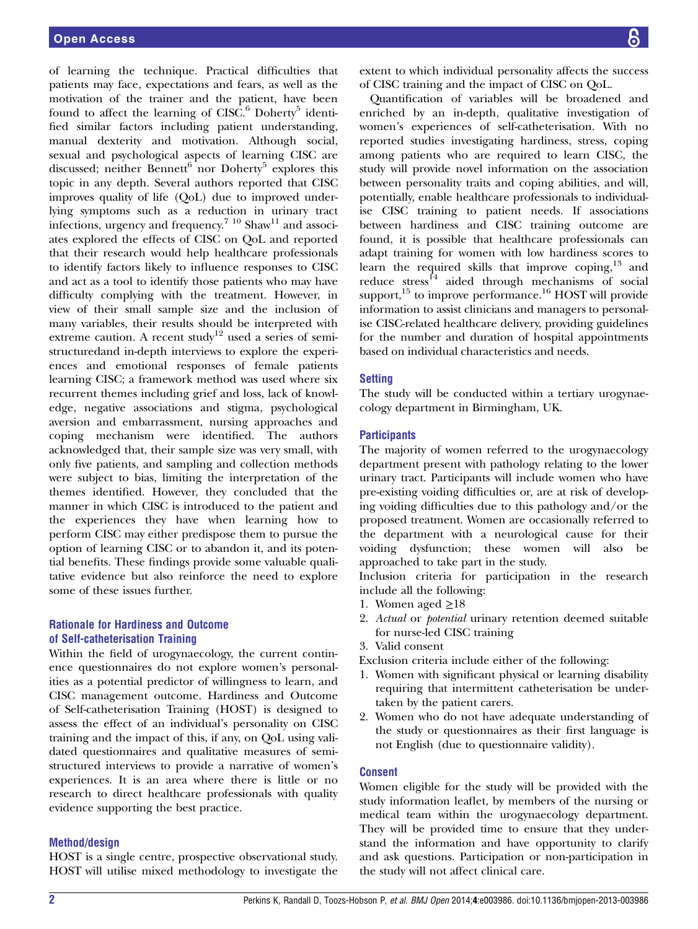of learning the technique. Practical difficulties that patients may face, expectations and fears, as well as the motivation of the trainer and the patient, have been found to affect the learning of CISC. $6$  Doherty<sup>5</sup> identified similar factors including patient understanding, manual dexterity and motivation. Although social, sexual and psychological aspects of learning CISC are discussed; neither Bennett<sup>6</sup> nor Doherty<sup>5</sup> explores this topic in any depth. Several authors reported that CISC improves quality of life (QoL) due to improved underlying symptoms such as a reduction in urinary tract infections, urgency and frequency.<sup>7 10</sup> Shaw<sup>11</sup> and associates explored the effects of CISC on QoL and reported that their research would help healthcare professionals to identify factors likely to influence responses to CISC and act as a tool to identify those patients who may have difficulty complying with the treatment. However, in view of their small sample size and the inclusion of many variables, their results should be interpreted with extreme caution. A recent study<sup>12</sup> used a series of semistructuredand in-depth interviews to explore the experiences and emotional responses of female patients learning CISC; a framework method was used where six recurrent themes including grief and loss, lack of knowledge, negative associations and stigma, psychological aversion and embarrassment, nursing approaches and coping mechanism were identified. The authors acknowledged that, their sample size was very small, with only five patients, and sampling and collection methods were subject to bias, limiting the interpretation of the themes identified. However, they concluded that the manner in which CISC is introduced to the patient and the experiences they have when learning how to perform CISC may either predispose them to pursue the option of learning CISC or to abandon it, and its potential benefits. These findings provide some valuable qualitative evidence but also reinforce the need to explore some of these issues further.

### Rationale for Hardiness and Outcome of Self-catheterisation Training

Within the field of urogynaecology, the current continence questionnaires do not explore women's personalities as a potential predictor of willingness to learn, and CISC management outcome. Hardiness and Outcome of Self-catheterisation Training (HOST) is designed to assess the effect of an individual's personality on CISC training and the impact of this, if any, on QoL using validated questionnaires and qualitative measures of semistructured interviews to provide a narrative of women's experiences. It is an area where there is little or no research to direct healthcare professionals with quality evidence supporting the best practice.

#### Method/design

HOST is a single centre, prospective observational study. HOST will utilise mixed methodology to investigate the

extent to which individual personality affects the success of CISC training and the impact of CISC on QoL.

Quantification of variables will be broadened and enriched by an in-depth, qualitative investigation of women's experiences of self-catheterisation. With no reported studies investigating hardiness, stress, coping among patients who are required to learn CISC, the study will provide novel information on the association between personality traits and coping abilities, and will, potentially, enable healthcare professionals to individualise CISC training to patient needs. If associations between hardiness and CISC training outcome are found, it is possible that healthcare professionals can adapt training for women with low hardiness scores to learn the required skills that improve coping,<sup>13</sup> and reduce  $stress<sup>14</sup>$  aided through mechanisms of social support, $^{15}$  to improve performance.<sup>16</sup> HOST will provide information to assist clinicians and managers to personalise CISC-related healthcare delivery, providing guidelines for the number and duration of hospital appointments based on individual characteristics and needs.

#### Setting

The study will be conducted within a tertiary urogynaecology department in Birmingham, UK.

#### **Participants**

The majority of women referred to the urogynaecology department present with pathology relating to the lower urinary tract. Participants will include women who have pre-existing voiding difficulties or, are at risk of developing voiding difficulties due to this pathology and/or the proposed treatment. Women are occasionally referred to the department with a neurological cause for their voiding dysfunction; these women will also be approached to take part in the study.

Inclusion criteria for participation in the research include all the following:

- 1. Women aged  $\geq$ 18
- 2. Actual or potential urinary retention deemed suitable for nurse-led CISC training
- 3. Valid consent

Exclusion criteria include either of the following:

- 1. Women with significant physical or learning disability requiring that intermittent catheterisation be undertaken by the patient carers.
- 2. Women who do not have adequate understanding of the study or questionnaires as their first language is not English (due to questionnaire validity).

#### Consent

Women eligible for the study will be provided with the study information leaflet, by members of the nursing or medical team within the urogynaecology department. They will be provided time to ensure that they understand the information and have opportunity to clarify and ask questions. Participation or non-participation in the study will not affect clinical care.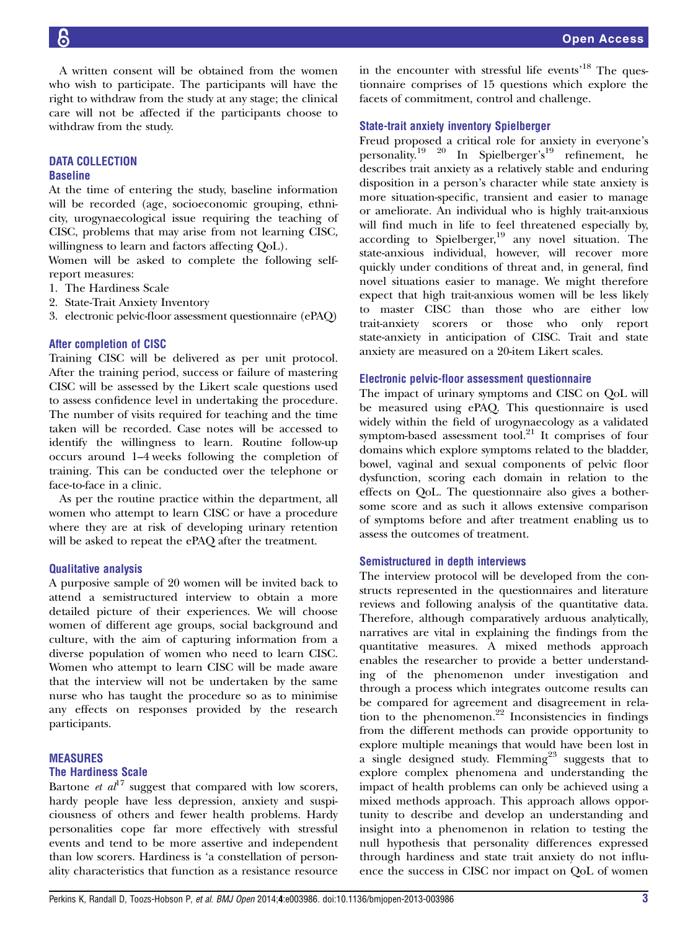A written consent will be obtained from the women who wish to participate. The participants will have the right to withdraw from the study at any stage; the clinical care will not be affected if the participants choose to withdraw from the study.

## DATA COLLECTION

#### **Baseline**

At the time of entering the study, baseline information will be recorded (age, socioeconomic grouping, ethnicity, urogynaecological issue requiring the teaching of CISC, problems that may arise from not learning CISC, willingness to learn and factors affecting QoL).

Women will be asked to complete the following selfreport measures:

- 1. The Hardiness Scale
- 2. State-Trait Anxiety Inventory
- 3. electronic pelvic-floor assessment questionnaire (ePAQ)

#### After completion of CISC

Training CISC will be delivered as per unit protocol. After the training period, success or failure of mastering CISC will be assessed by the Likert scale questions used to assess confidence level in undertaking the procedure. The number of visits required for teaching and the time taken will be recorded. Case notes will be accessed to identify the willingness to learn. Routine follow-up occurs around 1–4 weeks following the completion of training. This can be conducted over the telephone or face-to-face in a clinic.

As per the routine practice within the department, all women who attempt to learn CISC or have a procedure where they are at risk of developing urinary retention will be asked to repeat the ePAQ after the treatment.

#### Qualitative analysis

A purposive sample of 20 women will be invited back to attend a semistructured interview to obtain a more detailed picture of their experiences. We will choose women of different age groups, social background and culture, with the aim of capturing information from a diverse population of women who need to learn CISC. Women who attempt to learn CISC will be made aware that the interview will not be undertaken by the same nurse who has taught the procedure so as to minimise any effects on responses provided by the research participants.

#### MEASURES

#### The Hardiness Scale

Bartone  $et\ al^{17}$  suggest that compared with low scorers, hardy people have less depression, anxiety and suspiciousness of others and fewer health problems. Hardy personalities cope far more effectively with stressful events and tend to be more assertive and independent than low scorers. Hardiness is 'a constellation of personality characteristics that function as a resistance resource

in the encounter with stressful life events'<sup>18</sup> The questionnaire comprises of 15 questions which explore the facets of commitment, control and challenge.

#### State-trait anxiety inventory Spielberger

Freud proposed a critical role for anxiety in everyone's personality.<sup>19 20</sup> In Spielberger's<sup>19</sup> refinement, he describes trait anxiety as a relatively stable and enduring disposition in a person's character while state anxiety is more situation-specific, transient and easier to manage or ameliorate. An individual who is highly trait-anxious will find much in life to feel threatened especially by, according to Spielberger, $19$  any novel situation. The state-anxious individual, however, will recover more quickly under conditions of threat and, in general, find novel situations easier to manage. We might therefore expect that high trait-anxious women will be less likely to master CISC than those who are either low trait-anxiety scorers or those who only report state-anxiety in anticipation of CISC. Trait and state anxiety are measured on a 20-item Likert scales.

#### Electronic pelvic-floor assessment questionnaire

The impact of urinary symptoms and CISC on QoL will be measured using ePAQ. This questionnaire is used widely within the field of urogynaecology as a validated symptom-based assessment tool.<sup>21</sup> It comprises of four domains which explore symptoms related to the bladder, bowel, vaginal and sexual components of pelvic floor dysfunction, scoring each domain in relation to the effects on QoL. The questionnaire also gives a bothersome score and as such it allows extensive comparison of symptoms before and after treatment enabling us to assess the outcomes of treatment.

#### Semistructured in depth interviews

The interview protocol will be developed from the constructs represented in the questionnaires and literature reviews and following analysis of the quantitative data. Therefore, although comparatively arduous analytically, narratives are vital in explaining the findings from the quantitative measures. A mixed methods approach enables the researcher to provide a better understanding of the phenomenon under investigation and through a process which integrates outcome results can be compared for agreement and disagreement in relation to the phenomenon. $^{22}$  Inconsistencies in findings from the different methods can provide opportunity to explore multiple meanings that would have been lost in a single designed study. Flemming<sup>23</sup> suggests that to explore complex phenomena and understanding the impact of health problems can only be achieved using a mixed methods approach. This approach allows opportunity to describe and develop an understanding and insight into a phenomenon in relation to testing the null hypothesis that personality differences expressed through hardiness and state trait anxiety do not influence the success in CISC nor impact on QoL of women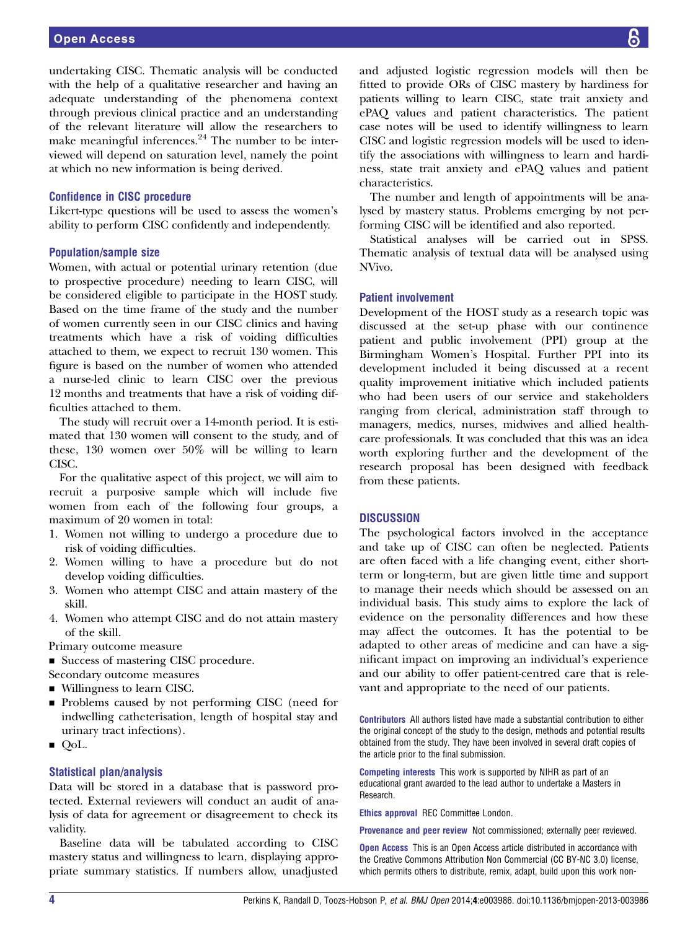undertaking CISC. Thematic analysis will be conducted with the help of a qualitative researcher and having an adequate understanding of the phenomena context through previous clinical practice and an understanding of the relevant literature will allow the researchers to make meaningful inferences. $24$  The number to be interviewed will depend on saturation level, namely the point at which no new information is being derived.

#### Confidence in CISC procedure

Likert-type questions will be used to assess the women's ability to perform CISC confidently and independently.

#### Population/sample size

Women, with actual or potential urinary retention (due to prospective procedure) needing to learn CISC, will be considered eligible to participate in the HOST study. Based on the time frame of the study and the number of women currently seen in our CISC clinics and having treatments which have a risk of voiding difficulties attached to them, we expect to recruit 130 women. This figure is based on the number of women who attended a nurse-led clinic to learn CISC over the previous 12 months and treatments that have a risk of voiding difficulties attached to them.

The study will recruit over a 14-month period. It is estimated that 130 women will consent to the study, and of these, 130 women over 50% will be willing to learn CISC.

For the qualitative aspect of this project, we will aim to recruit a purposive sample which will include five women from each of the following four groups, a maximum of 20 women in total:

- 1. Women not willing to undergo a procedure due to risk of voiding difficulties.
- 2. Women willing to have a procedure but do not develop voiding difficulties.
- 3. Women who attempt CISC and attain mastery of the skill.
- 4. Women who attempt CISC and do not attain mastery of the skill.

Primary outcome measure

- Success of mastering CISC procedure.
- Secondary outcome measures
- Willingness to learn CISC.
- Problems caused by not performing CISC (need for indwelling catheterisation, length of hospital stay and urinary tract infections).
- QoL.

#### Statistical plan/analysis

Data will be stored in a database that is password protected. External reviewers will conduct an audit of analysis of data for agreement or disagreement to check its validity.

Baseline data will be tabulated according to CISC mastery status and willingness to learn, displaying appropriate summary statistics. If numbers allow, unadjusted and adjusted logistic regression models will then be fitted to provide ORs of CISC mastery by hardiness for patients willing to learn CISC, state trait anxiety and ePAQ values and patient characteristics. The patient case notes will be used to identify willingness to learn CISC and logistic regression models will be used to identify the associations with willingness to learn and hardiness, state trait anxiety and ePAQ values and patient characteristics.

The number and length of appointments will be analysed by mastery status. Problems emerging by not performing CISC will be identified and also reported.

Statistical analyses will be carried out in SPSS. Thematic analysis of textual data will be analysed using NVivo.

### Patient involvement

Development of the HOST study as a research topic was discussed at the set-up phase with our continence patient and public involvement (PPI) group at the Birmingham Women's Hospital. Further PPI into its development included it being discussed at a recent quality improvement initiative which included patients who had been users of our service and stakeholders ranging from clerical, administration staff through to managers, medics, nurses, midwives and allied healthcare professionals. It was concluded that this was an idea worth exploring further and the development of the research proposal has been designed with feedback from these patients.

#### **DISCUSSION**

The psychological factors involved in the acceptance and take up of CISC can often be neglected. Patients are often faced with a life changing event, either shortterm or long-term, but are given little time and support to manage their needs which should be assessed on an individual basis. This study aims to explore the lack of evidence on the personality differences and how these may affect the outcomes. It has the potential to be adapted to other areas of medicine and can have a significant impact on improving an individual's experience and our ability to offer patient-centred care that is relevant and appropriate to the need of our patients.

Contributors All authors listed have made a substantial contribution to either the original concept of the study to the design, methods and potential results obtained from the study. They have been involved in several draft copies of the article prior to the final submission.

Competing interests This work is supported by NIHR as part of an educational grant awarded to the lead author to undertake a Masters in Research.

Ethics approval REC Committee London.

Provenance and peer review Not commissioned; externally peer reviewed.

Open Access This is an Open Access article distributed in accordance with the Creative Commons Attribution Non Commercial (CC BY-NC 3.0) license, which permits others to distribute, remix, adapt, build upon this work non-